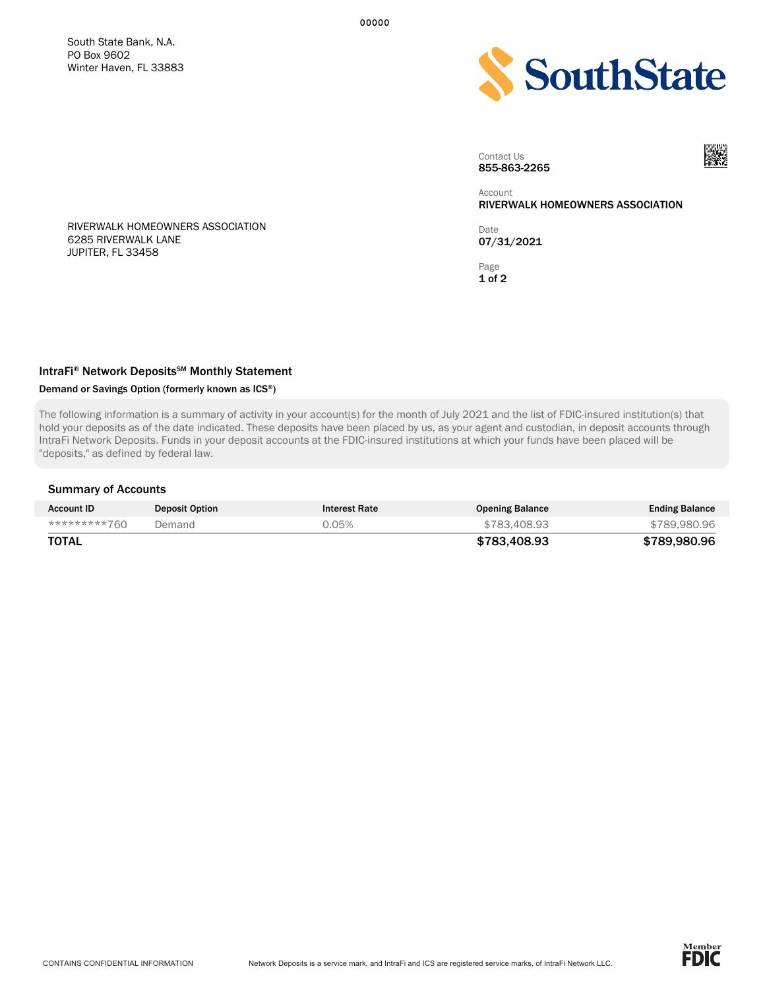South State Bank, N.A. PO Box 9602 Winter Haven, FL 33883



Contact Us 855-863-2265



Account RIVERWALK HOMEOWNERS ASSOCIATION

Date 07/31/2021

Page 1 of 2

RIVERWALK HOMEOWNERS ASSOCIATION 6285 RIVERWALK LANE JUPITER, FL 33458

# IntraFi<sup>®</sup> Network Deposits<sup>SM</sup> Monthly Statement

### Demand or Savings Option (formerly known as ICS®)

The following information is a summary of activity in your account(s) for the month of July 2021 and the list of FDIC-insured institution(s) that hold your deposits as of the date indicated. These deposits have been placed by us, as your agent and custodian, in deposit accounts through IntraFi Network Deposits. Funds in your deposit accounts at the FDIC-insured institutions at which your funds have been placed will be "deposits," as defined by federal law.

#### Summary of Accounts

| <b>Account ID</b> | <b>Deposit Option</b> | <b>Interest Rate</b> | <b>Opening Balance</b> | <b>Ending Balance</b> |
|-------------------|-----------------------|----------------------|------------------------|-----------------------|
| *********760      | Demand                | 0.05%                | \$783,408,93           | \$789,980,96          |
| TOTAL             |                       |                      | \$783.408.93           | \$789.980.96          |

00000